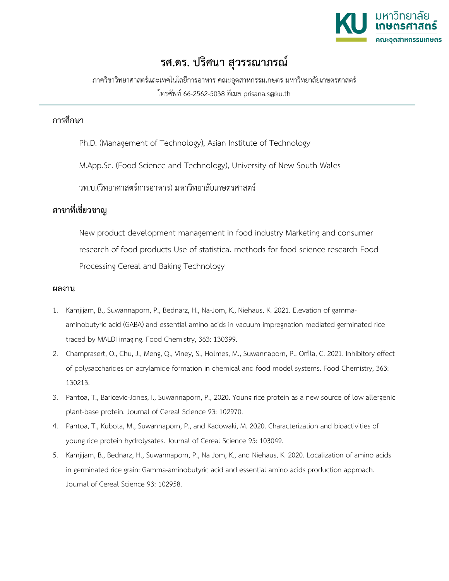

## **รศ.ดร. ปริศนา สุวรรณาภรณ**

ภาควิชาวิทยาศาสตรและเทคโนโลยีการอาหาร คณะอุตสาหกรรมเกษตร มหาวิทยาลัยเกษตรศาสตร โทรศัพท 66-2562-5038 อีเมล prisana.s@ku.th

## **การศึกษา**

Ph.D. (Management of Technology), Asian Institute of Technology

M.App.Sc. (Food Science and Technology), University of New South Wales

วท.บ.(วิทยาศาสตร์การอาหาร) มหาวิทยาลัยเกษตรศาสตร์

## **สาขาที่เชี่ยวชาญ**

New product development management in food industry Marketing and consumer research of food products Use of statistical methods for food science research Food Processing Cereal and Baking Technology

## **ผลงาน**

- 1. Kamjijam, B., Suwannaporn, P., Bednarz, H., Na-Jom, K., Niehaus, K. 2021. Elevation of gammaaminobutyric acid (GABA) and essential amino acids in vacuum impregnation mediated germinated rice traced by MALDI imaging. Food Chemistry, 363: 130399.
- 2. Champrasert, O., Chu, J., Meng, Q., Viney, S., Holmes, M., Suwannaporn, P., Orfila, C. 2021. Inhibitory effect of polysaccharides on acrylamide formation in chemical and food model systems. Food Chemistry, 363: 130213.
- 3. Pantoa, T., Baricevic-Jones, I., Suwannaporn, P., 2020. Young rice protein as a new source of low allergenic plant-base protein. Journal of Cereal Science 93: 102970.
- 4. Pantoa, T., Kubota, M., Suwannaporn, P., and Kadowaki, M. 2020. Characterization and bioactivities of young rice protein hydrolysates. Journal of Cereal Science 95: 103049.
- 5. Kamjijam, B., Bednarz, H., Suwannaporn, P., Na Jom, K., and Niehaus, K. 2020. Localization of amino acids in germinated rice grain: Gamma-aminobutyric acid and essential amino acids production approach. Journal of Cereal Science 93: 102958.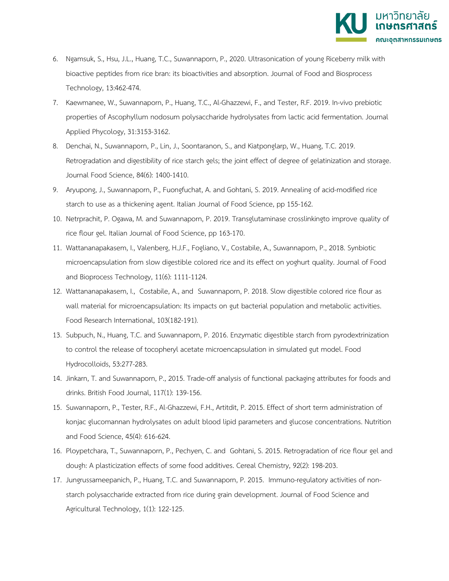

- 6. Ngamsuk, S., Hsu, J.L., Huang, T.C., Suwannaporn, P., 2020. Ultrasonication of young Riceberry milk with bioactive peptides from rice bran: its bioactivities and absorption. Journal of Food and Biosprocess Technology, 13:462-474.
- 7. Kaewmanee, W., Suwannaporn, P., Huang, T.C., Al-Ghazzewi, F., and Tester, R.F. 2019. In-vivo prebiotic properties of Ascophyllum nodosum polysaccharide hydrolysates from lactic acid fermentation. Journal Applied Phycology, 31:3153-3162.
- 8. Denchai, N., Suwannaporn, P., Lin, J., Soontaranon, S., and Kiatponglarp, W., Huang, T.C. 2019. Retrogradation and digestibility of rice starch gels; the joint effect of degree of gelatinization and storage. Journal Food Science, 84(6): 1400-1410.
- 9. Aryupong, J., Suwannaporn, P., Fuongfuchat, A. and Gohtani, S. 2019. Annealing of acid-modified rice starch to use as a thickening agent. Italian Journal of Food Science, pp 155-162.
- 10. Netrprachit, P. Ogawa, M. and Suwannaporn, P. 2019. Transglutaminase crosslinkingto improve quality of rice flour gel. Italian Journal of Food Science, pp 163-170.
- 11. Wattananapakasem, I., Valenberg, H.J.F., Fogliano, V., Costabile, A., Suwannaporn, P., 2018. Synbiotic microencapsulation from slow digestible colored rice and its effect on yoghurt quality. Journal of Food and Bioprocess Technology, 11(6): 1111-1124.
- 12. Wattananapakasem, I., Costabile, A., and Suwannaporn, P. 2018. Slow digestible colored rice flour as wall material for microencapsulation: Its impacts on gut bacterial population and metabolic activities. Food Research International, 103(182-191).
- 13. Subpuch, N., Huang, T.C. and Suwannaporn, P. 2016. Enzymatic digestible starch from pyrodextrinization to control the release of tocopheryl acetate microencapsulation in simulated gut model. Food Hydrocolloids, 53:277-283.
- 14. Jinkarn, T. and Suwannaporn, P., 2015. Trade-off analysis of functional packaging attributes for foods and drinks. British Food Journal, 117(1): 139-156.
- 15. Suwannaporn, P., Tester, R.F., Al-Ghazzewi, F.H., Artitdit, P. 2015. Effect of short term administration of konjac glucomannan hydrolysates on adult blood lipid parameters and glucose concentrations. Nutrition and Food Science, 45(4): 616-624.
- 16. Ploypetchara, T., Suwannaporn, P., Pechyen, C. and Gohtani, S. 2015. Retrogradation of rice flour gel and dough: A plasticization effects of some food additives. Cereal Chemistry, 92(2): 198-203.
- 17. Jungrussameepanich, P., Huang, T.C. and Suwannaporn, P. 2015. Immuno-regulatory activities of nonstarch polysaccharide extracted from rice during grain development. Journal of Food Science and Agricultural Technology, 1(1): 122-125.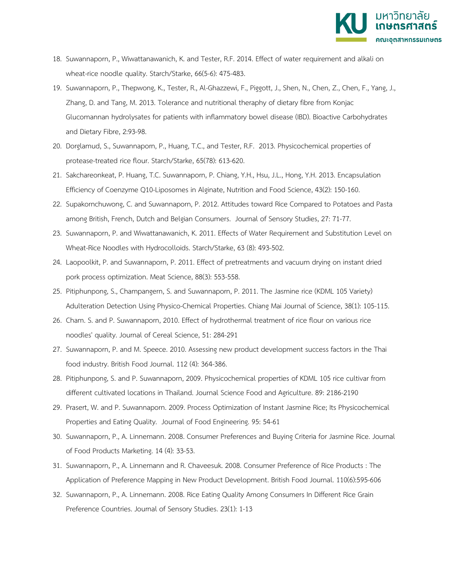

- 18. Suwannaporn, P., Wiwattanawanich, K. and Tester, R.F. 2014. Effect of water requirement and alkali on wheat-rice noodle quality. Starch/Starke, 66(5-6): 475-483.
- 19. Suwannaporn, P., Thepwong, K., Tester, R., Al-Ghazzewi, F., Piggott, J., Shen, N., Chen, Z., Chen, F., Yang, J., Zhang, D. and Tang, M. 2013. Tolerance and nutritional theraphy of dietary fibre from Konjac Glucomannan hydrolysates for patients with inflammatory bowel disease (IBD). Bioactive Carbohydrates and Dietary Fibre, 2:93-98.
- 20. Dorglamud, S., Suwannaporn, P., Huang, T.C., and Tester, R.F. 2013. Physicochemical properties of protease-treated rice flour. Starch/Starke, 65(78): 613-620.
- 21. Sakchareonkeat, P. Huang, T.C. Suwannaporn, P. Chiang, Y.H., Hsu, J.L., Hong, Y.H. 2013. Encapsulation Efficiency of Coenzyme Q10-Liposomes in Alginate, Nutrition and Food Science, 43(2): 150-160.
- 22. Supakornchuwong, C. and Suwannaporn, P. 2012. Attitudes toward Rice Compared to Potatoes and Pasta among British, French, Dutch and Belgian Consumers. Journal of Sensory Studies, 27: 71-77.
- 23. Suwannaporn, P. and Wiwattanawanich, K. 2011. Effects of Water Requirement and Substitution Level on Wheat-Rice Noodles with Hydrocolloids. Starch/Starke, 63 (8): 493-502.
- 24. Laopoolkit, P. and Suwannaporn, P. 2011. Effect of pretreatments and vacuum drying on instant dried pork process optimization. Meat Science, 88(3): 553-558.
- 25. Pitiphunpong, S., Champangern, S. and Suwannaporn, P. 2011. The Jasmine rice (KDML 105 Variety) Adulteration Detection Using Physico-Chemical Properties. Chiang Mai Journal of Science, 38(1): 105-115.
- 26. Cham. S. and P. Suwannaporn, 2010. Effect of hydrothermal treatment of rice flour on various rice noodles' quality. Journal of Cereal Science, 51: 284-291
- 27. Suwannaporn, P. and M. Speece. 2010. Assessing new product development success factors in the Thai food industry. British Food Journal. 112 (4): 364-386.
- 28. Pitiphunpong, S. and P. Suwannaporn, 2009. Physicochemical properties of KDML 105 rice cultivar from different cultivated locations in Thailand. Journal Science Food and Agriculture. 89: 2186-2190
- 29. Prasert, W. and P. Suwannaporn. 2009. Process Optimization of Instant Jasmine Rice; Its Physicochemical Properties and Eating Quality. Journal of Food Engineering. 95: 54-61
- 30. Suwannaporn, P., A. Linnemann. 2008. Consumer Preferences and Buying Criteria for Jasmine Rice. Journal of Food Products Marketing. 14 (4): 33-53.
- 31. Suwannaporn, P., A. Linnemann and R. Chaveesuk. 2008. Consumer Preference of Rice Products : The Application of Preference Mapping in New Product Development. British Food Journal. 110(6):595-606
- 32. Suwannaporn, P., A. Linnemann. 2008. Rice Eating Quality Among Consumers In Different Rice Grain Preference Countries. Journal of Sensory Studies. 23(1): 1-13